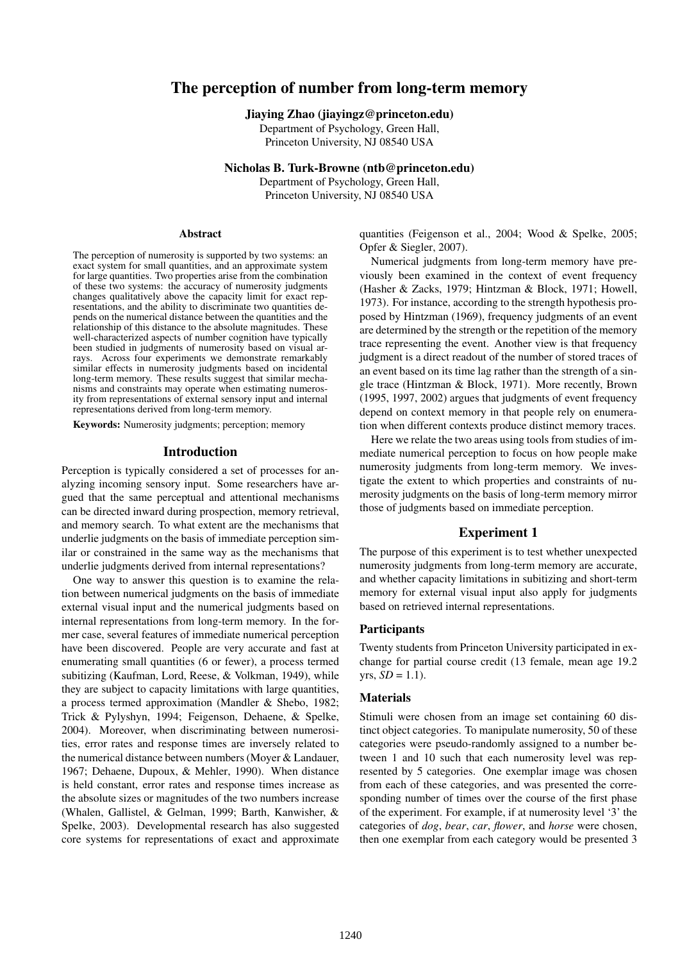# The perception of number from long-term memory

### Jiaying Zhao (jiayingz@princeton.edu)

Department of Psychology, Green Hall, Princeton University, NJ 08540 USA

Nicholas B. Turk-Browne (ntb@princeton.edu)

Department of Psychology, Green Hall, Princeton University, NJ 08540 USA

#### Abstract

The perception of numerosity is supported by two systems: an exact system for small quantities, and an approximate system for large quantities. Two properties arise from the combination of these two systems: the accuracy of numerosity judgments changes qualitatively above the capacity limit for exact representations, and the ability to discriminate two quantities depends on the numerical distance between the quantities and the relationship of this distance to the absolute magnitudes. These well-characterized aspects of number cognition have typically been studied in judgments of numerosity based on visual arrays. Across four experiments we demonstrate remarkably similar effects in numerosity judgments based on incidental long-term memory. These results suggest that similar mechanisms and constraints may operate when estimating numerosity from representations of external sensory input and internal representations derived from long-term memory.

Keywords: Numerosity judgments; perception; memory

### Introduction

Perception is typically considered a set of processes for analyzing incoming sensory input. Some researchers have argued that the same perceptual and attentional mechanisms can be directed inward during prospection, memory retrieval, and memory search. To what extent are the mechanisms that underlie judgments on the basis of immediate perception similar or constrained in the same way as the mechanisms that underlie judgments derived from internal representations?

One way to answer this question is to examine the relation between numerical judgments on the basis of immediate external visual input and the numerical judgments based on internal representations from long-term memory. In the former case, several features of immediate numerical perception have been discovered. People are very accurate and fast at enumerating small quantities (6 or fewer), a process termed subitizing (Kaufman, Lord, Reese, & Volkman, 1949), while they are subject to capacity limitations with large quantities, a process termed approximation (Mandler & Shebo, 1982; Trick & Pylyshyn, 1994; Feigenson, Dehaene, & Spelke, 2004). Moreover, when discriminating between numerosities, error rates and response times are inversely related to the numerical distance between numbers (Moyer & Landauer, 1967; Dehaene, Dupoux, & Mehler, 1990). When distance is held constant, error rates and response times increase as the absolute sizes or magnitudes of the two numbers increase (Whalen, Gallistel, & Gelman, 1999; Barth, Kanwisher, & Spelke, 2003). Developmental research has also suggested core systems for representations of exact and approximate quantities (Feigenson et al., 2004; Wood & Spelke, 2005; Opfer & Siegler, 2007).

Numerical judgments from long-term memory have previously been examined in the context of event frequency (Hasher & Zacks, 1979; Hintzman & Block, 1971; Howell, 1973). For instance, according to the strength hypothesis proposed by Hintzman (1969), frequency judgments of an event are determined by the strength or the repetition of the memory trace representing the event. Another view is that frequency judgment is a direct readout of the number of stored traces of an event based on its time lag rather than the strength of a single trace (Hintzman & Block, 1971). More recently, Brown (1995, 1997, 2002) argues that judgments of event frequency depend on context memory in that people rely on enumeration when different contexts produce distinct memory traces.

Here we relate the two areas using tools from studies of immediate numerical perception to focus on how people make numerosity judgments from long-term memory. We investigate the extent to which properties and constraints of numerosity judgments on the basis of long-term memory mirror those of judgments based on immediate perception.

### Experiment 1

The purpose of this experiment is to test whether unexpected numerosity judgments from long-term memory are accurate, and whether capacity limitations in subitizing and short-term memory for external visual input also apply for judgments based on retrieved internal representations.

### **Participants**

Twenty students from Princeton University participated in exchange for partial course credit (13 female, mean age 19.2  $yrs, SD = 1.1$ .

### Materials

Stimuli were chosen from an image set containing 60 distinct object categories. To manipulate numerosity, 50 of these categories were pseudo-randomly assigned to a number between 1 and 10 such that each numerosity level was represented by 5 categories. One exemplar image was chosen from each of these categories, and was presented the corresponding number of times over the course of the first phase of the experiment. For example, if at numerosity level '3' the categories of *dog*, *bear*, *car*, *flower*, and *horse* were chosen, then one exemplar from each category would be presented 3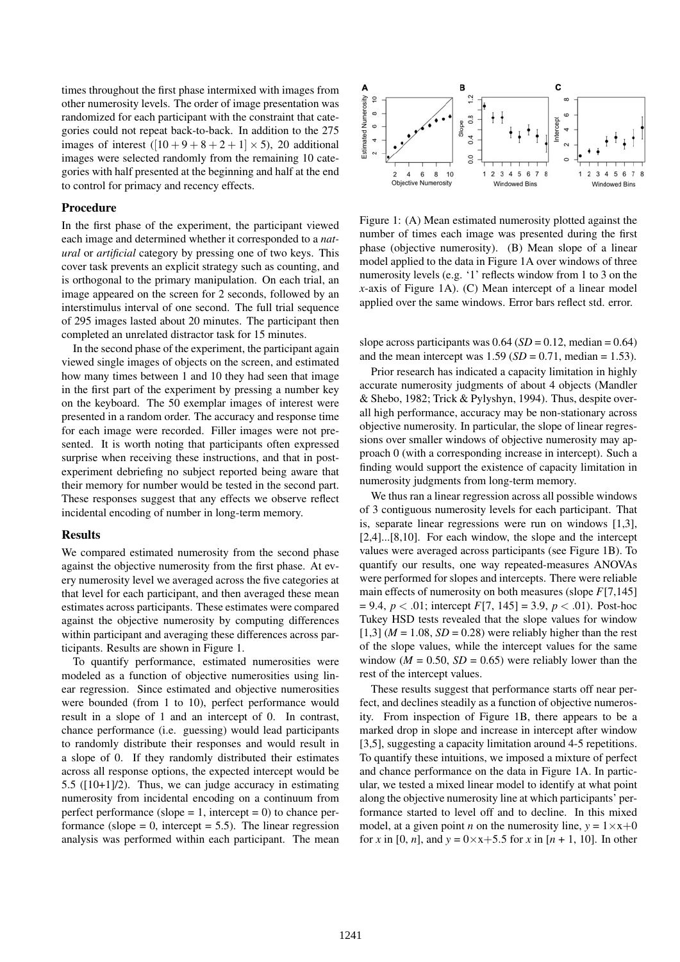times throughout the first phase intermixed with images from other numerosity levels. The order of image presentation was randomized for each participant with the constraint that categories could not repeat back-to-back. In addition to the 275 images of interest  $([10+9+8+2+1] \times 5)$ , 20 additional images were selected randomly from the remaining 10 categories with half presented at the beginning and half at the end to control for primacy and recency effects.

### Procedure

In the first phase of the experiment, the participant viewed each image and determined whether it corresponded to a *natural* or *artificial* category by pressing one of two keys. This cover task prevents an explicit strategy such as counting, and is orthogonal to the primary manipulation. On each trial, an image appeared on the screen for 2 seconds, followed by an interstimulus interval of one second. The full trial sequence of 295 images lasted about 20 minutes. The participant then completed an unrelated distractor task for 15 minutes.

In the second phase of the experiment, the participant again viewed single images of objects on the screen, and estimated how many times between 1 and 10 they had seen that image in the first part of the experiment by pressing a number key on the keyboard. The 50 exemplar images of interest were presented in a random order. The accuracy and response time for each image were recorded. Filler images were not presented. It is worth noting that participants often expressed surprise when receiving these instructions, and that in postexperiment debriefing no subject reported being aware that their memory for number would be tested in the second part. These responses suggest that any effects we observe reflect incidental encoding of number in long-term memory.

#### Results

We compared estimated numerosity from the second phase against the objective numerosity from the first phase. At every numerosity level we averaged across the five categories at that level for each participant, and then averaged these mean estimates across participants. These estimates were compared against the objective numerosity by computing differences within participant and averaging these differences across participants. Results are shown in Figure 1.

To quantify performance, estimated numerosities were modeled as a function of objective numerosities using linear regression. Since estimated and objective numerosities were bounded (from 1 to 10), perfect performance would result in a slope of 1 and an intercept of 0. In contrast, chance performance (i.e. guessing) would lead participants to randomly distribute their responses and would result in a slope of 0. If they randomly distributed their estimates across all response options, the expected intercept would be 5.5 ([10+1]/2). Thus, we can judge accuracy in estimating numerosity from incidental encoding on a continuum from perfect performance (slope  $= 1$ , intercept  $= 0$ ) to chance performance (slope  $= 0$ , intercept  $= 5.5$ ). The linear regression analysis was performed within each participant. The mean



Figure 1: (A) Mean estimated numerosity plotted against the number of times each image was presented during the first phase (objective numerosity). (B) Mean slope of a linear model applied to the data in Figure 1A over windows of three numerosity levels (e.g. '1' reflects window from 1 to 3 on the *x*-axis of Figure 1A). (C) Mean intercept of a linear model applied over the same windows. Error bars reflect std. error.

slope across participants was  $0.64$  (*SD* = 0.12, median = 0.64) and the mean intercept was  $1.59$  (*SD* = 0.71, median = 1.53).

Prior research has indicated a capacity limitation in highly accurate numerosity judgments of about 4 objects (Mandler & Shebo, 1982; Trick & Pylyshyn, 1994). Thus, despite overall high performance, accuracy may be non-stationary across objective numerosity. In particular, the slope of linear regressions over smaller windows of objective numerosity may approach 0 (with a corresponding increase in intercept). Such a finding would support the existence of capacity limitation in numerosity judgments from long-term memory.

We thus ran a linear regression across all possible windows of 3 contiguous numerosity levels for each participant. That is, separate linear regressions were run on windows [1,3], [2,4]...[8,10]. For each window, the slope and the intercept values were averaged across participants (see Figure 1B). To quantify our results, one way repeated-measures ANOVAs were performed for slopes and intercepts. There were reliable main effects of numerosity on both measures (slope *F*[7,145]  $= 9.4, p < .01$ ; intercept  $F[7, 145] = 3.9, p < .01$ ). Post-hoc Tukey HSD tests revealed that the slope values for window  $[1,3]$  ( $M = 1.08$ ,  $SD = 0.28$ ) were reliably higher than the rest of the slope values, while the intercept values for the same window ( $M = 0.50$ ,  $SD = 0.65$ ) were reliably lower than the rest of the intercept values.

These results suggest that performance starts off near perfect, and declines steadily as a function of objective numerosity. From inspection of Figure 1B, there appears to be a marked drop in slope and increase in intercept after window [3,5], suggesting a capacity limitation around 4-5 repetitions. To quantify these intuitions, we imposed a mixture of perfect and chance performance on the data in Figure 1A. In particular, we tested a mixed linear model to identify at what point along the objective numerosity line at which participants' performance started to level off and to decline. In this mixed model, at a given point *n* on the numerosity line,  $y = 1 \times x + 0$ for *x* in [0, *n*], and  $y = 0 \times x + 5.5$  for *x* in [*n* + 1, 10]. In other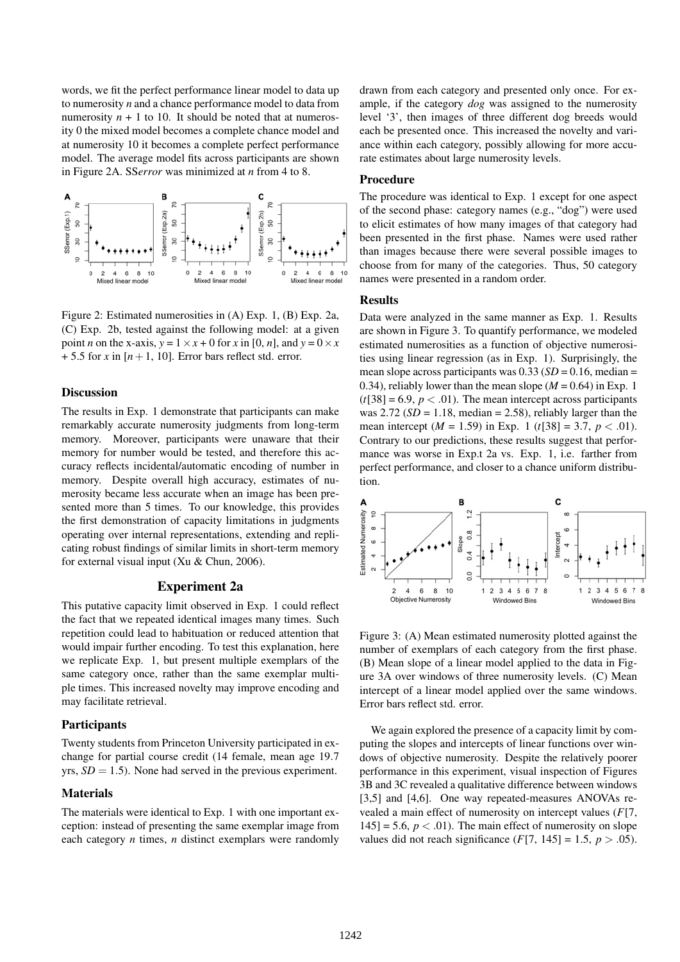words, we fit the perfect performance linear model to data up to numerosity *n* and a chance performance model to data from numerosity  $n + 1$  to 10. It should be noted that at numerosity 0 the mixed model becomes a complete chance model and at numerosity 10 it becomes a complete perfect performance model. The average model fits across participants are shown in Figure 2A. SS*error* was minimized at *n* from 4 to 8.



Figure 2: Estimated numerosities in (A) Exp. 1, (B) Exp. 2a, (C) Exp. 2b, tested against the following model: at a given point *n* on the x-axis,  $y = 1 \times x + 0$  for *x* in [0, *n*], and  $y = 0 \times x$  $+ 5.5$  for *x* in [*n*+1, 10]. Error bars reflect std. error.

# Discussion

The results in Exp. 1 demonstrate that participants can make remarkably accurate numerosity judgments from long-term memory. Moreover, participants were unaware that their memory for number would be tested, and therefore this accuracy reflects incidental/automatic encoding of number in memory. Despite overall high accuracy, estimates of numerosity became less accurate when an image has been presented more than 5 times. To our knowledge, this provides the first demonstration of capacity limitations in judgments operating over internal representations, extending and replicating robust findings of similar limits in short-term memory for external visual input (Xu & Chun, 2006).

# Experiment 2a

This putative capacity limit observed in Exp. 1 could reflect the fact that we repeated identical images many times. Such repetition could lead to habituation or reduced attention that would impair further encoding. To test this explanation, here we replicate Exp. 1, but present multiple exemplars of the same category once, rather than the same exemplar multiple times. This increased novelty may improve encoding and may facilitate retrieval.

#### **Participants**

Twenty students from Princeton University participated in exchange for partial course credit (14 female, mean age 19.7 yrs,  $SD = 1.5$ ). None had served in the previous experiment.

# Materials

The materials were identical to Exp. 1 with one important exception: instead of presenting the same exemplar image from each category *n* times, *n* distinct exemplars were randomly drawn from each category and presented only once. For example, if the category *dog* was assigned to the numerosity level '3', then images of three different dog breeds would each be presented once. This increased the novelty and variance within each category, possibly allowing for more accurate estimates about large numerosity levels.

# Procedure

The procedure was identical to Exp. 1 except for one aspect of the second phase: category names (e.g., "dog") were used to elicit estimates of how many images of that category had been presented in the first phase. Names were used rather than images because there were several possible images to choose from for many of the categories. Thus, 50 category names were presented in a random order.

# **Results**

Data were analyzed in the same manner as Exp. 1. Results are shown in Figure 3. To quantify performance, we modeled estimated numerosities as a function of objective numerosities using linear regression (as in Exp. 1). Surprisingly, the mean slope across participants was  $0.33$  (*SD* = 0.16, median = 0.34), reliably lower than the mean slope  $(M = 0.64)$  in Exp. 1  $(t[38] = 6.9, p < .01)$ . The mean intercept across participants was  $2.72$  (*SD* = 1.18, median = 2.58), reliably larger than the mean intercept  $(M = 1.59)$  in Exp. 1  $(t[38] = 3.7, p < .01)$ . Contrary to our predictions, these results suggest that performance was worse in Exp.t 2a vs. Exp. 1, i.e. farther from perfect performance, and closer to a chance uniform distribution.



Figure 3: (A) Mean estimated numerosity plotted against the number of exemplars of each category from the first phase. (B) Mean slope of a linear model applied to the data in Figure 3A over windows of three numerosity levels. (C) Mean intercept of a linear model applied over the same windows. Error bars reflect std. error.

We again explored the presence of a capacity limit by computing the slopes and intercepts of linear functions over windows of objective numerosity. Despite the relatively poorer performance in this experiment, visual inspection of Figures 3B and 3C revealed a qualitative difference between windows [3,5] and [4,6]. One way repeated-measures ANOVAs revealed a main effect of numerosity on intercept values (*F*[7,  $145$ ] = 5.6,  $p < .01$ ). The main effect of numerosity on slope values did not reach significance  $(F[7, 145] = 1.5, p > .05)$ .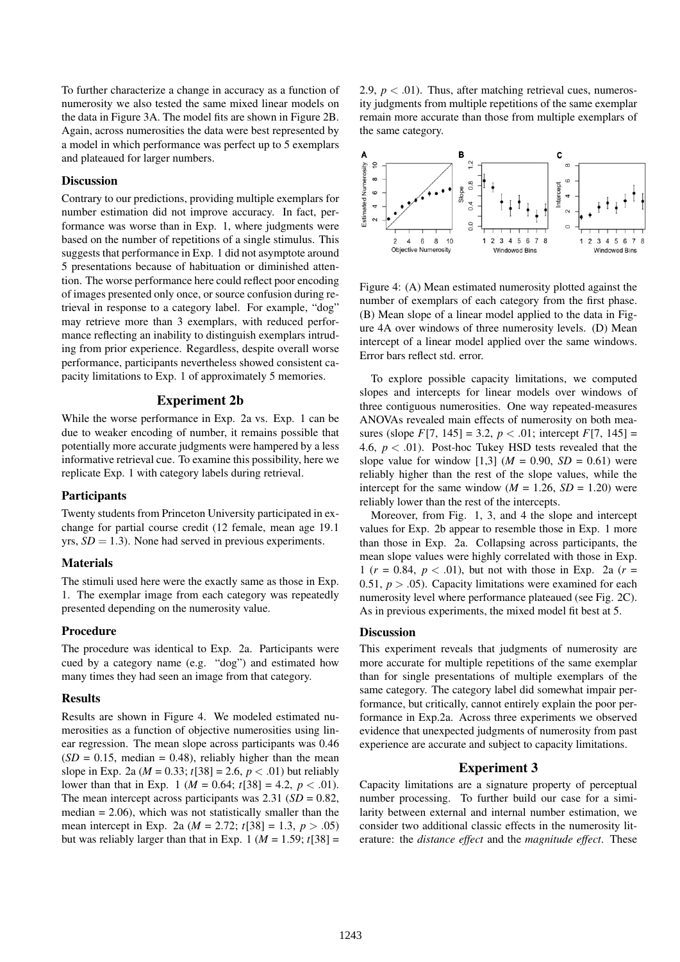To further characterize a change in accuracy as a function of numerosity we also tested the same mixed linear models on the data in Figure 3A. The model fits are shown in Figure 2B. Again, across numerosities the data were best represented by a model in which performance was perfect up to 5 exemplars and plateaued for larger numbers.

# **Discussion**

Contrary to our predictions, providing multiple exemplars for number estimation did not improve accuracy. In fact, performance was worse than in Exp. 1, where judgments were based on the number of repetitions of a single stimulus. This suggests that performance in Exp. 1 did not asymptote around 5 presentations because of habituation or diminished attention. The worse performance here could reflect poor encoding of images presented only once, or source confusion during retrieval in response to a category label. For example, "dog" may retrieve more than 3 exemplars, with reduced performance reflecting an inability to distinguish exemplars intruding from prior experience. Regardless, despite overall worse performance, participants nevertheless showed consistent capacity limitations to Exp. 1 of approximately 5 memories.

# Experiment 2b

While the worse performance in Exp. 2a vs. Exp. 1 can be due to weaker encoding of number, it remains possible that potentially more accurate judgments were hampered by a less informative retrieval cue. To examine this possibility, here we replicate Exp. 1 with category labels during retrieval.

#### **Participants**

Twenty students from Princeton University participated in exchange for partial course credit (12 female, mean age 19.1 yrs,  $SD = 1.3$ ). None had served in previous experiments.

#### Materials

The stimuli used here were the exactly same as those in Exp. 1. The exemplar image from each category was repeatedly presented depending on the numerosity value.

### Procedure

The procedure was identical to Exp. 2a. Participants were cued by a category name (e.g. "dog") and estimated how many times they had seen an image from that category.

#### **Results**

Results are shown in Figure 4. We modeled estimated numerosities as a function of objective numerosities using linear regression. The mean slope across participants was 0.46  $(SD = 0.15$ , median = 0.48), reliably higher than the mean slope in Exp. 2a ( $M = 0.33$ ;  $t[38] = 2.6$ ,  $p < .01$ ) but reliably lower than that in Exp. 1 ( $M = 0.64$ ;  $t[38] = 4.2$ ,  $p < .01$ ). The mean intercept across participants was  $2.31$  (*SD* = 0.82, median  $= 2.06$ ), which was not statistically smaller than the mean intercept in Exp. 2a (*M* = 2.72; *t*[38] = 1.3, *p* > .05) but was reliably larger than that in Exp. 1 ( $M = 1.59$ ;  $t[38] =$  2.9,  $p < .01$ ). Thus, after matching retrieval cues, numerosity judgments from multiple repetitions of the same exemplar remain more accurate than those from multiple exemplars of the same category.



Figure 4: (A) Mean estimated numerosity plotted against the number of exemplars of each category from the first phase. (B) Mean slope of a linear model applied to the data in Figure 4A over windows of three numerosity levels. (D) Mean intercept of a linear model applied over the same windows. Error bars reflect std. error.

To explore possible capacity limitations, we computed slopes and intercepts for linear models over windows of three contiguous numerosities. One way repeated-measures ANOVAs revealed main effects of numerosity on both measures (slope  $F[7, 145] = 3.2, p < .01$ ; intercept  $F[7, 145] =$ 4.6,  $p < .01$ ). Post-hoc Tukey HSD tests revealed that the slope value for window [1,3]  $(M = 0.90, SD = 0.61)$  were reliably higher than the rest of the slope values, while the intercept for the same window  $(M = 1.26, SD = 1.20)$  were reliably lower than the rest of the intercepts.

Moreover, from Fig. 1, 3, and 4 the slope and intercept values for Exp. 2b appear to resemble those in Exp. 1 more than those in Exp. 2a. Collapsing across participants, the mean slope values were highly correlated with those in Exp. 1 ( $r = 0.84$ ,  $p < .01$ ), but not with those in Exp. 2a ( $r =$ 0.51,  $p > .05$ ). Capacity limitations were examined for each numerosity level where performance plateaued (see Fig. 2C). As in previous experiments, the mixed model fit best at 5.

#### **Discussion**

This experiment reveals that judgments of numerosity are more accurate for multiple repetitions of the same exemplar than for single presentations of multiple exemplars of the same category. The category label did somewhat impair performance, but critically, cannot entirely explain the poor performance in Exp.2a. Across three experiments we observed evidence that unexpected judgments of numerosity from past experience are accurate and subject to capacity limitations.

### Experiment 3

Capacity limitations are a signature property of perceptual number processing. To further build our case for a similarity between external and internal number estimation, we consider two additional classic effects in the numerosity literature: the *distance effect* and the *magnitude effect*. These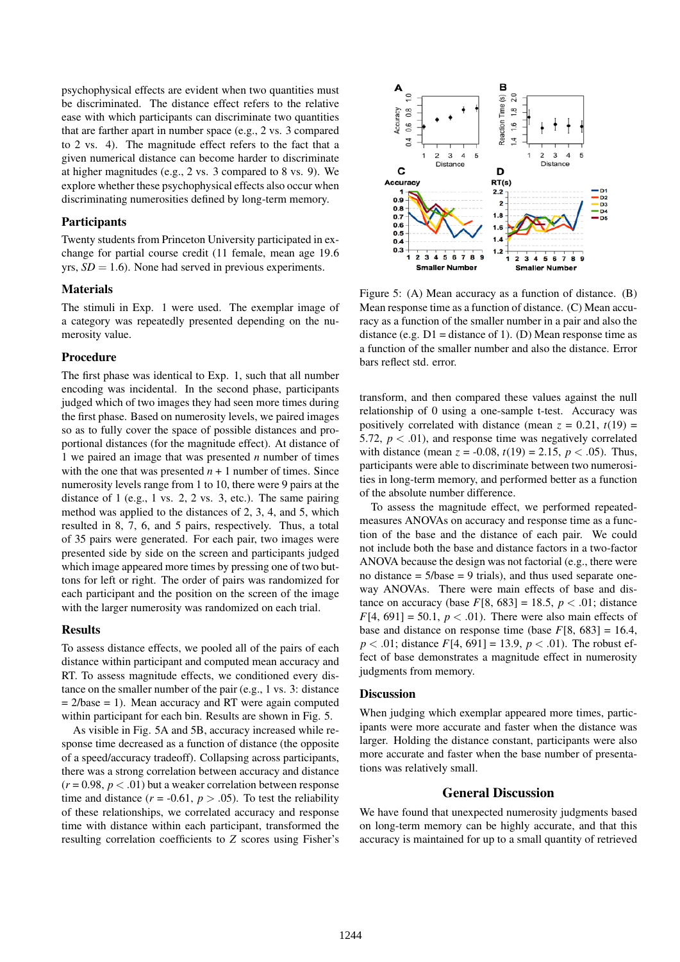psychophysical effects are evident when two quantities must be discriminated. The distance effect refers to the relative ease with which participants can discriminate two quantities that are farther apart in number space (e.g., 2 vs. 3 compared to 2 vs. 4). The magnitude effect refers to the fact that a given numerical distance can become harder to discriminate at higher magnitudes (e.g., 2 vs. 3 compared to 8 vs. 9). We explore whether these psychophysical effects also occur when discriminating numerosities defined by long-term memory.

# **Participants**

Twenty students from Princeton University participated in exchange for partial course credit (11 female, mean age 19.6 yrs,  $SD = 1.6$ ). None had served in previous experiments.

## Materials

The stimuli in Exp. 1 were used. The exemplar image of a category was repeatedly presented depending on the numerosity value.

# Procedure

The first phase was identical to Exp. 1, such that all number encoding was incidental. In the second phase, participants judged which of two images they had seen more times during the first phase. Based on numerosity levels, we paired images so as to fully cover the space of possible distances and proportional distances (for the magnitude effect). At distance of 1 we paired an image that was presented *n* number of times with the one that was presented  $n + 1$  number of times. Since numerosity levels range from 1 to 10, there were 9 pairs at the distance of 1 (e.g., 1 vs. 2, 2 vs. 3, etc.). The same pairing method was applied to the distances of 2, 3, 4, and 5, which resulted in 8, 7, 6, and 5 pairs, respectively. Thus, a total of 35 pairs were generated. For each pair, two images were presented side by side on the screen and participants judged which image appeared more times by pressing one of two buttons for left or right. The order of pairs was randomized for each participant and the position on the screen of the image with the larger numerosity was randomized on each trial.

#### Results

To assess distance effects, we pooled all of the pairs of each distance within participant and computed mean accuracy and RT. To assess magnitude effects, we conditioned every distance on the smaller number of the pair (e.g., 1 vs. 3: distance  $= 2/b$ ase  $= 1$ ). Mean accuracy and RT were again computed within participant for each bin. Results are shown in Fig. 5.

As visible in Fig. 5A and 5B, accuracy increased while response time decreased as a function of distance (the opposite of a speed/accuracy tradeoff). Collapsing across participants, there was a strong correlation between accuracy and distance  $(r = 0.98, p < .01)$  but a weaker correlation between response time and distance  $(r = -0.61, p > .05)$ . To test the reliability of these relationships, we correlated accuracy and response time with distance within each participant, transformed the resulting correlation coefficients to *Z* scores using Fisher's



Figure 5: (A) Mean accuracy as a function of distance. (B) Mean response time as a function of distance. (C) Mean accuracy as a function of the smaller number in a pair and also the distance (e.g.  $D1 =$  distance of 1). (D) Mean response time as a function of the smaller number and also the distance. Error bars reflect std. error.

transform, and then compared these values against the null relationship of 0 using a one-sample t-test. Accuracy was positively correlated with distance (mean  $z = 0.21$ ,  $t(19) =$ 5.72,  $p < .01$ ), and response time was negatively correlated with distance (mean  $z = -0.08$ ,  $t(19) = 2.15$ ,  $p < .05$ ). Thus, participants were able to discriminate between two numerosities in long-term memory, and performed better as a function of the absolute number difference.

To assess the magnitude effect, we performed repeatedmeasures ANOVAs on accuracy and response time as a function of the base and the distance of each pair. We could not include both the base and distance factors in a two-factor ANOVA because the design was not factorial (e.g., there were no distance  $= 5/b$ ase  $= 9$  trials), and thus used separate oneway ANOVAs. There were main effects of base and distance on accuracy (base  $F[8, 683] = 18.5$ ,  $p < .01$ ; distance  $F[4, 691] = 50.1, p < .01$ . There were also main effects of base and distance on response time (base  $F[8, 683] = 16.4$ ,  $p < .01$ ; distance  $F[4, 691] = 13.9, p < .01$ ). The robust effect of base demonstrates a magnitude effect in numerosity judgments from memory.

#### **Discussion**

When judging which exemplar appeared more times, participants were more accurate and faster when the distance was larger. Holding the distance constant, participants were also more accurate and faster when the base number of presentations was relatively small.

# General Discussion

We have found that unexpected numerosity judgments based on long-term memory can be highly accurate, and that this accuracy is maintained for up to a small quantity of retrieved